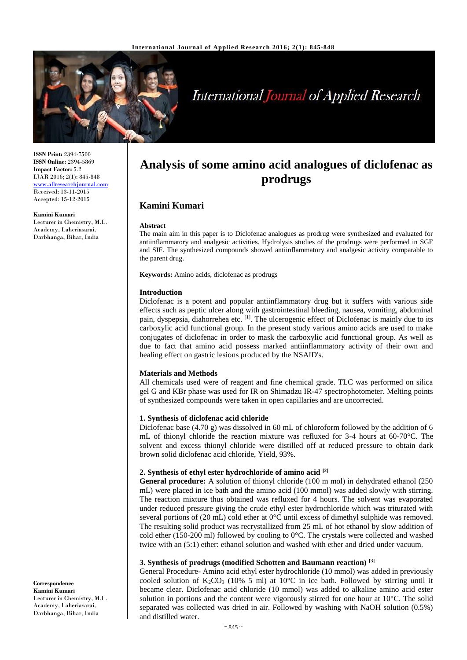

# **International Journal of Applied Research**

**ISSN Print:** 2394-7500 **ISSN Online:** 2394-5869 **Impact Factor:** 5.2 IJAR 2016; 2(1): 845-848 [www.allresearchjournal.com](http://www.allresearchjournal.com/) Received: 13-11-2015 Accepted: 15-12-2015

#### **Kamini Kumari**

Lecturer in Chemistry, M.L. Academy, Laheriasarai, Darbhanga, Bihar, India

## **Analysis of some amino acid analogues of diclofenac as prodrugs**

## **Kamini Kumari**

#### **Abstract**

The main aim in this paper is to Diclofenac analogues as prodrug were synthesized and evaluated for antiinflammatory and analgesic activities. Hydrolysis studies of the prodrugs were performed in SGF and SIF. The synthesized compounds showed antiinflammatory and analgesic activity comparable to the parent drug.

**Keywords:** Amino acids, diclofenac as prodrugs

#### **Introduction**

Diclofenac is a potent and popular antiinflammatory drug but it suffers with various side effects such as peptic ulcer along with gastrointestinal bleeding, nausea, vomiting, abdominal pain, dyspepsia, diahorrehea etc. [1]. The ulcerogenic effect of Diclofenac is mainly due to its carboxylic acid functional group. In the present study various amino acids are used to make conjugates of diclofenac in order to mask the carboxylic acid functional group. As well as due to fact that amino acid possess marked antiinflammatory activity of their own and healing effect on gastric lesions produced by the NSAID's.

## **Materials and Methods**

All chemicals used were of reagent and fine chemical grade. TLC was performed on silica gel G and KBr phase was used for IR on Shimadzu IR-47 spectrophotometer. Melting points of synthesized compounds were taken in open capillaries and are uncorrected.

## **1. Synthesis of diclofenac acid chloride**

Diclofenac base (4.70 g) was dissolved in 60 mL of chloroform followed by the addition of 6 mL of thionyl chloride the reaction mixture was refluxed for 3-4 hours at 60-70°C. The solvent and excess thionyl chloride were distilled off at reduced pressure to obtain dark brown solid diclofenac acid chloride, Yield, 93%.

## **2. Synthesis of ethyl ester hydrochloride of amino acid [2]**

**General procedure:** A solution of thionyl chloride (100 m mol) in dehydrated ethanol (250 mL) were placed in ice bath and the amino acid (100 mmol) was added slowly with stirring. The reaction mixture thus obtained was refluxed for 4 hours. The solvent was evaporated under reduced pressure giving the crude ethyl ester hydrochloride which was triturated with several portions of (20 mL) cold ether at 0°C until excess of dimethyl sulphide was removed. The resulting solid product was recrystallized from 25 mL of hot ethanol by slow addition of cold ether (150-200 ml) followed by cooling to 0°C. The crystals were collected and washed twice with an (5:1) ether: ethanol solution and washed with ether and dried under vacuum.

## **3. Synthesis of prodrugs (modified Schotten and Baumann reaction) [3]**

General Procedure- Amino acid ethyl ester hydrochloride (10 mmol) was added in previously cooled solution of  $K_2CO_3$  (10% 5 ml) at 10°C in ice bath. Followed by stirring until it became clear. Diclofenac acid chloride (10 mmol) was added to alkaline amino acid ester solution in portions and the content were vigorously stirred for one hour at 10°C. The solid separated was collected was dried in air. Followed by washing with NaOH solution (0.5%) and distilled water.

**Correspondence Kamini Kumari** Lecturer in Chemistry, M.L. Academy, Laheriasarai, Darbhanga, Bihar, India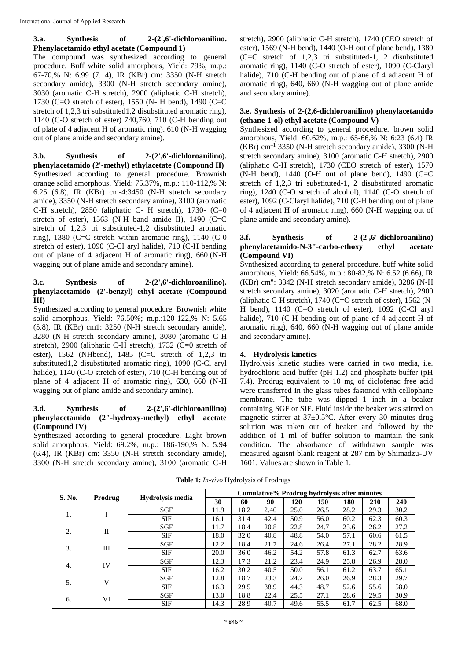## **3.a. Synthesis of 2-(2',6'-dichloroanilino. Phenylacetamido ethyl acetate (Compound 1)**

The compound was synthesized according to general procedure. Buff white solid amorphous, Yield: 79%, m.p.: 67-70,% N: 6.99 (7.14), IR (KBr) cm: 3350 (N-H stretch secondary amide), 3300 (N-H stretch secondary amine), 3030 (aromatic C-H stretch), 2900 (aliphatic C-H stretch), 1730 (C=O stretch of ester), 1550 (N- H bend), 1490 (C=C stretch of 1,2,3 tri substituted1,2 disubstituted aromatic ring), 1140 (C-O stretch of ester) 740,760, 710 (C-H bending out of plate of 4 adjacent H of aromatic ring). 610 (N-H wagging out of plane amide and secondary amine).

**3.b. Synthesis of 2-(2',6'-dichloroanilino). phenylacetamido (2'-methyl) ethylacetate (Compound II)** Synthesized according to general procedure. Brownish orange solid amorphous, Yield: 75.37%, m.p.: 110-112,% N: 6.25 (6.8), IR (KBr) cm-4:3450 (N-H stretch secondary amide), 3350 (N-H stretch secondary amine), 3100 (aromatic C-H stretch), 2850 (aliphatic C- H stretch), 1730- (C=0 stretch of ester), 1563 (N-H band amide II), 1490 (C=C stretch of 1,2,3 tri substituted-1,2 disubstituted aromatic ring), 1380 (C=C stretch within aromatic ring), 1140 (C-0) stretch of ester), 1090 (C-CI aryl halide), 710 (C-H bending out of plane of 4 adjacent H of aromatic ring), 660.(N-H wagging out of plane amide and secondary amine).

## **3.c. Synthesis of 2-(2',6'-dichloroanilino). phenylacetamido '(2'-benzyl) ethyl acetate (Compound III)**

Synthesized according to general procedure. Brownish white solid amorphous, Yield: 76.50%; m.p.:120-122,% N: 5.65 (5.8), IR (KBr) cm1: 3250 (N-H stretch secondary amide), 3280 (N-H stretch secondary amine), 3080 (aromatic C-H stretch), 2900 (aliphatic C-H stretch), 1732 (C=0 stretch of ester), 1562 (NHbend), 1485 (C=C stretch of 1,2,3 tri substituted1,2 disubstituted aromatic ring), 1090 (C-Cl aryl halide), 1140 (C-O stretch of ester), 710 (C-H bending out of plane of 4 adjacent H of aromatic ring), 630, 660 (N-H wagging out of plane amide and secondary amine).

## **3.d. Synthesis of 2-(2',6'-dichloroanilino) phenylacetamido (2"-hydroxy-methyl) ethyl acetate (Compound IV)**

Synthesized according to general procedure. Light brown solid amorphous, Yield: 69.2%, m.p.: 186-190,% N: 5.94 (6.4), IR (KBr) cm: 3350 (N-H stretch secondary amide), 3300 (N-H stretch secondary amine), 3100 (aromatic C-H stretch), 2900 (aliphatic C-H stretch), 1740 (CEO stretch of ester), 1569 (N-H bend), 1440 (O-H out of plane bend), 1380  $(C=C)$  stretch of 1,2,3 tri substituted-1, 2 disubstituted aromatic ring), 1140 (C-O stretch of ester), 1090 (C-Claryl halide), 710 (C-H bending out of plane of 4 adjacent H of aromatic ring), 640, 660 (N-H wagging out of plane amide and secondary amine).

## **3.e. Synthesis of 2-(2,6-dichloroanilino) phenylacetamido (ethane-1-ol) ethyl acetate (Compound V)**

Synthesized according to general procedure. brown solid amorphous, Yield: 60.62%, m.p.: 65-66,% N: 6:23 (6.4) IR (KBr) cm–1 3350 (N-H stretch secondary amide), 3300 (N-H stretch secondary amine), 3100 (aromatic C-H stretch), 2900 (aliphatic C-H stretch), 1730 (CEO stretch of ester), 1570 (N-H bend), 1440 (O-H out of plane bend), 1490 (C=C stretch of 1,2,3 tri substituted-1, 2 disubstituted aromatic ring), 1240 (C-O stretch of alcohol), 1140 (C-O stretch of ester), 1092 (C-Claryl halide), 710 (C-H bending out of plane of 4 adjacent H of aromatic ring), 660 (N-H wagging out of plane amide and secondary amine).

## **3.f. Synthesis of 2-(2',6'-dichloroanilino) phenylacetamido-N-3"-carbo-ethoxy ethyl acetate (Compound VI)**

Synthesized according to general procedure. buff white solid amorphous, Yield: 66.54%, m.p.: 80-82,% N: 6.52 (6.66), IR (KBr) cm": 3342 (N-H stretch secondary amide), 3286 (N-H stretch secondary amine), 3020 (aromatic C-H stretch), 2900 (aliphatic C-H stretch), 1740 (C=O stretch of ester), 1562 (N-H bend), 1140 (C=O stretch of ester), 1092 (C-Cl aryl halide), 710 (C-H bending out of plane of 4 adjacent H of aromatic ring), 640, 660 (N-H wagging out of plane amide and secondary amine).

## **4. Hydrolysis kinetics**

Hydrolysis kinetic studies were carried in two media, i.e. hydrochloric acid buffer (pH 1.2) and phosphate buffer (pH 7.4). Prodrug equivalent to 10 mg of diclofenac free acid were transferred in the glass tubes fastoned with cellophane membrane. The tube was dipped 1 inch in a beaker containing SGF or SIF. Fluid inside the beaker was stirred on magnetic stirrer at 37±0.5°C. After every 30 minutes drug solution was taken out of beaker and followed by the addition of 1 ml of buffer solution to maintain the sink condition. The absorbance of withdrawn sample was measured agaisnt blank reagent at 287 nm by Shimadzu-UV 1601. Values are shown in Table 1.

| S. No. | Prodrug      | Hydrolysis media | <b>Cumulative% Prodrug hydrolysis after minutes</b> |      |      |      |      |      |      |      |
|--------|--------------|------------------|-----------------------------------------------------|------|------|------|------|------|------|------|
|        |              |                  | 30                                                  | 60   | 90   | 120  | 150  | 180  | 210  | 240  |
| 1.     |              | SGF              | 11.9                                                | 18.2 | 2.40 | 25.0 | 26.5 | 28.2 | 29.3 | 30.2 |
|        |              | <b>SIF</b>       | 16.1                                                | 31.4 | 42.4 | 50.9 | 56.0 | 60.2 | 62.3 | 60.3 |
| 2.     | $\mathbf{I}$ | SGF              | 11.7                                                | 18.4 | 20.8 | 22.8 | 24.7 | 25.6 | 26.2 | 27.2 |
|        |              | <b>SIF</b>       | 18.0                                                | 32.0 | 40.8 | 48.8 | 54.0 | 57.1 | 60.6 | 61.5 |
| 3.     | III          | SGF              | 12.2                                                | 18.4 | 21.7 | 24.6 | 26.4 | 27.1 | 28.2 | 28.9 |
|        |              | <b>SIF</b>       | 20.0                                                | 36.0 | 46.2 | 54.2 | 57.8 | 61.3 | 62.7 | 63.6 |
| 4.     | IV           | SGF              | 12.3                                                | 17.3 | 21.2 | 23.4 | 24.9 | 25.8 | 26.9 | 28.0 |
|        |              | <b>SIF</b>       | 16.2                                                | 30.2 | 40.5 | 50.0 | 56.1 | 61.2 | 63.7 | 65.1 |
| 5.     | $\mathbf{V}$ | <b>SGF</b>       | 12.8                                                | 18.7 | 23.3 | 24.7 | 26.0 | 26.9 | 28.3 | 29.7 |
|        |              | <b>SIF</b>       | 16.3                                                | 29.5 | 38.9 | 44.3 | 48.7 | 52.6 | 55.6 | 58.0 |
| 6.     | VI           | <b>SGF</b>       | 13.0                                                | 18.8 | 22.4 | 25.5 | 27.1 | 28.6 | 29.5 | 30.9 |
|        |              | <b>SIF</b>       | 14.3                                                | 28.9 | 40.7 | 49.6 | 55.5 | 61.7 | 62.5 | 68.0 |

**Table 1:** *In-vivo* Hydrolysis of Prodrugs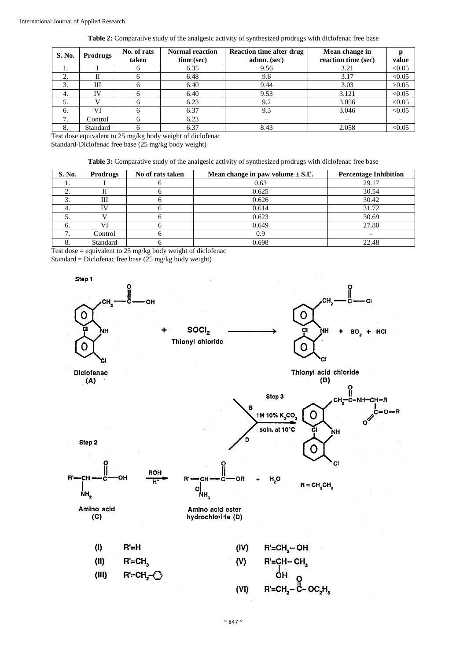| S. No. | <b>Prodrugs</b> | No. of rats<br>taken | <b>Normal reaction</b><br>time (sec) | <b>Reaction time after drug</b><br>admn. (sec) | Mean change in<br>reaction time (sec) | value  |
|--------|-----------------|----------------------|--------------------------------------|------------------------------------------------|---------------------------------------|--------|
| ı.     |                 |                      | 6.35                                 | 9.56                                           | 3.21                                  | < 0.05 |
| ◠      |                 |                      | 6.48                                 | 9.6                                            | 3.17                                  | < 0.05 |
| 3.     | Ш               |                      | 6.40                                 | 9.44                                           | 3.03                                  | >0.05  |
| 4.     | ΙV              |                      | 6.40                                 | 9.53                                           | 3.121                                 | < 0.05 |
| 5.     |                 |                      | 6.23                                 | 9.2                                            | 3.056                                 | < 0.05 |
| 6.     | VI              |                      | 6.37                                 | 9.3                                            | 3.046                                 | < 0.05 |
| ┑      | Control         |                      | 6.23                                 |                                                |                                       |        |
| 8      | Standard        |                      | 6.37                                 | 8.43                                           | 2.058                                 | < 0.05 |

Test dose equivalent to 25 mg/kg body weight of diclofenac

Standard-Diclofenac free base (25 mg/kg body weight)

| S. No. | <b>Prodrugs</b> | No of rats taken | Mean change in paw volume $\pm$ S.E. | <b>Percentage Inhibition</b> |
|--------|-----------------|------------------|--------------------------------------|------------------------------|
| . .    |                 |                  | 0.63                                 | 29.17                        |
|        |                 |                  | 0.625                                | 30.54                        |
| 3.     | Ш               |                  | 0.626                                | 30.42                        |
| 4.     | TV              | n                | 0.614                                | 31.72                        |
| J.     |                 | n                | 0.623                                | 30.69                        |
|        |                 |                  | 0.649                                | 27.80                        |
|        | Control         | n                | 0.9                                  |                              |
|        | Standard        |                  | 0.698                                | 22.48                        |

Test dose = equivalent to 25 mg/kg body weight of diclofenac Standard = Diclofenac free base (25 mg/kg body weight)